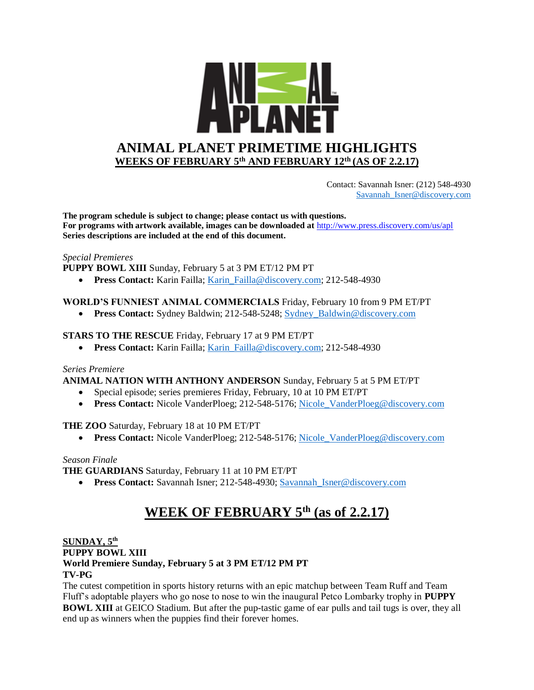

 Contact: Savannah Isner: (212) 548-4930 [Savannah\\_Isner@discovery.com](mailto:Savannah_Isner@discovery.com)

**The program schedule is subject to change; please contact us with questions. For programs with artwork available, images can be downloaded at** http://www.press.discovery.com/us/apl **Series descriptions are included at the end of this document.** 

#### *Special Premieres*

**PUPPY BOWL XIII** Sunday, February 5 at 3 PM ET/12 PM PT

• **Press Contact:** Karin Failla; Karin Failla@discovery.com; 212-548-4930

# **WORLD'S FUNNIEST ANIMAL COMMERCIALS** Friday, February 10 from 9 PM ET/PT

• **Press Contact:** Sydney Baldwin; 212-548-5248; Sydney Baldwin@discovery.com

### **STARS TO THE RESCUE** Friday, February 17 at 9 PM ET/PT

• **Press Contact:** Karin Failla; Karin Failla@discovery.com; 212-548-4930

#### *Series Premiere*

**ANIMAL NATION WITH ANTHONY ANDERSON** Sunday, February 5 at 5 PM ET/PT

- Special episode; series premieres Friday, February, 10 at 10 PM ET/PT
- **Press Contact:** Nicole VanderPloeg; 212-548-5176; Nicole VanderPloeg@discovery.com

# **THE ZOO** Saturday, February 18 at 10 PM ET/PT

• **Press Contact:** Nicole VanderPloeg; 212-548-5176; [Nicole\\_VanderPloeg@discovery.com](mailto:Nicole_VanderPloeg@discovery.com)

#### *Season Finale*

**THE GUARDIANS** Saturday, February 11 at 10 PM ET/PT

• **Press Contact:** Savannah Isner; 212-548-4930; [Savannah\\_Isner@discovery.com](mailto:Savannah_Isner@discovery.com) 

# **WEEK OF FEBRUARY 5th (as of 2.2.17)**

# **SUNDAY, 5 th PUPPY BOWL XIII World Premiere Sunday, February 5 at 3 PM ET/12 PM PT TV-PG**

The cutest competition in sports history returns with an epic matchup between Team Ruff and Team Fluff's adoptable players who go nose to nose to win the inaugural Petco Lombarky trophy in **PUPPY BOWL XIII** at GEICO Stadium. But after the pup-tastic game of ear pulls and tail tugs is over, they all end up as winners when the puppies find their forever homes.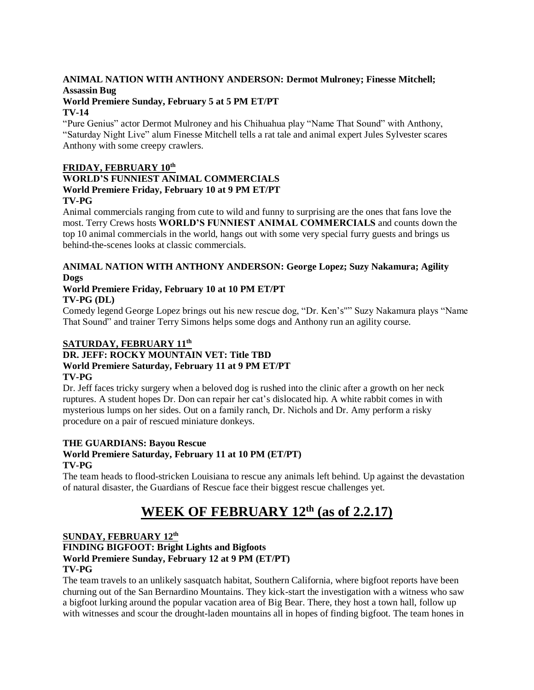# **ANIMAL NATION WITH ANTHONY ANDERSON: Dermot Mulroney; Finesse Mitchell; Assassin Bug**

# **World Premiere Sunday, February 5 at 5 PM ET/PT**

### **TV-14**

"Pure Genius" actor Dermot Mulroney and his Chihuahua play "Name That Sound" with Anthony, "Saturday Night Live" alum Finesse Mitchell tells a rat tale and animal expert Jules Sylvester scares Anthony with some creepy crawlers.

# **FRIDAY, FEBRUARY 10th**

#### **WORLD'S FUNNIEST ANIMAL COMMERCIALS World Premiere Friday, February 10 at 9 PM ET/PT TV-PG**

Animal commercials ranging from cute to wild and funny to surprising are the ones that fans love the most. Terry Crews hosts **WORLD'S FUNNIEST ANIMAL COMMERCIALS** and counts down the top 10 animal commercials in the world, hangs out with some very special furry guests and brings us behind-the-scenes looks at classic commercials.

## **ANIMAL NATION WITH ANTHONY ANDERSON: George Lopez; Suzy Nakamura; Agility Dogs**

#### **World Premiere Friday, February 10 at 10 PM ET/PT TV-PG (DL)**

Comedy legend George Lopez brings out his new rescue dog, "Dr. Ken's"" Suzy Nakamura plays "Name That Sound" and trainer Terry Simons helps some dogs and Anthony run an agility course.

# **SATURDAY, FEBRUARY 11th**

#### **DR. JEFF: ROCKY MOUNTAIN VET: Title TBD World Premiere Saturday, February 11 at 9 PM ET/PT TV-PG**

Dr. Jeff faces tricky surgery when a beloved dog is rushed into the clinic after a growth on her neck ruptures. A student hopes Dr. Don can repair her cat's dislocated hip. A white rabbit comes in with mysterious lumps on her sides. Out on a family ranch, Dr. Nichols and Dr. Amy perform a risky procedure on a pair of rescued miniature donkeys.

# **THE GUARDIANS: Bayou Rescue**

# **World Premiere Saturday, February 11 at 10 PM (ET/PT)**

**TV-PG**

The team heads to flood-stricken Louisiana to rescue any animals left behind. Up against the devastation of natural disaster, the Guardians of Rescue face their biggest rescue challenges yet.

# **WEEK OF FEBRUARY 12th (as of 2.2.17)**

## **SUNDAY, FEBRUARY 12th FINDING BIGFOOT: Bright Lights and Bigfoots World Premiere Sunday, February 12 at 9 PM (ET/PT) TV-PG**

The team travels to an unlikely sasquatch habitat, Southern California, where bigfoot reports have been churning out of the San Bernardino Mountains. They kick-start the investigation with a witness who saw a bigfoot lurking around the popular vacation area of Big Bear. There, they host a town hall, follow up with witnesses and scour the drought-laden mountains all in hopes of finding bigfoot. The team hones in